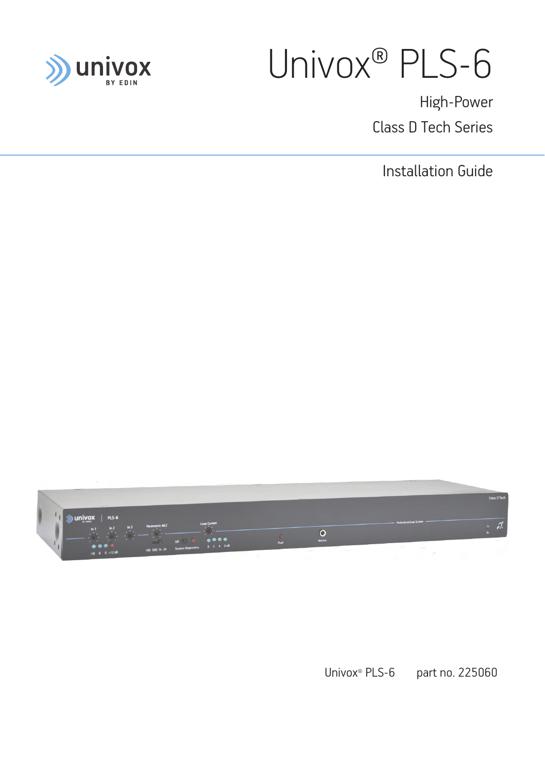

# Univox® PLS-6

High-Power Class D Tech Series

Installation Guide

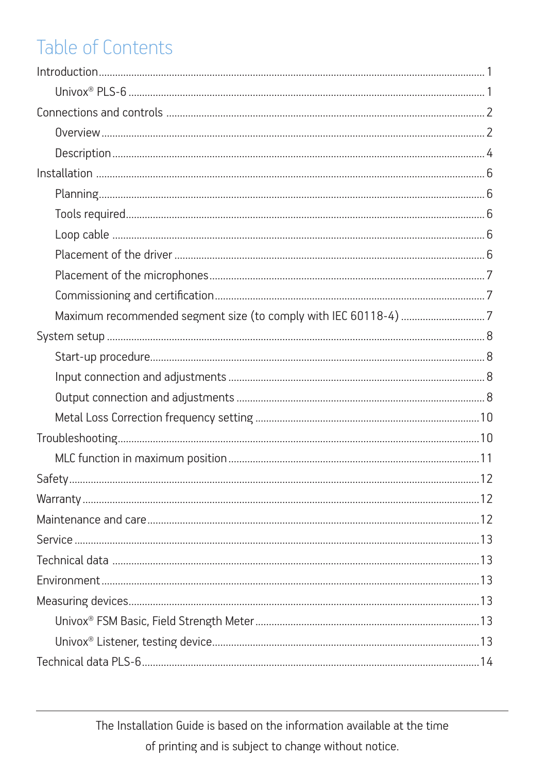# Table of Contents

| Maximum recommended segment size (to comply with IEC 60118-4) 7 |
|-----------------------------------------------------------------|
|                                                                 |
|                                                                 |
|                                                                 |
|                                                                 |
|                                                                 |
|                                                                 |
|                                                                 |
|                                                                 |
|                                                                 |
|                                                                 |
|                                                                 |
|                                                                 |
|                                                                 |
|                                                                 |
|                                                                 |
|                                                                 |
|                                                                 |

The Installation Guide is based on the information available at the time of printing and is subject to change without notice.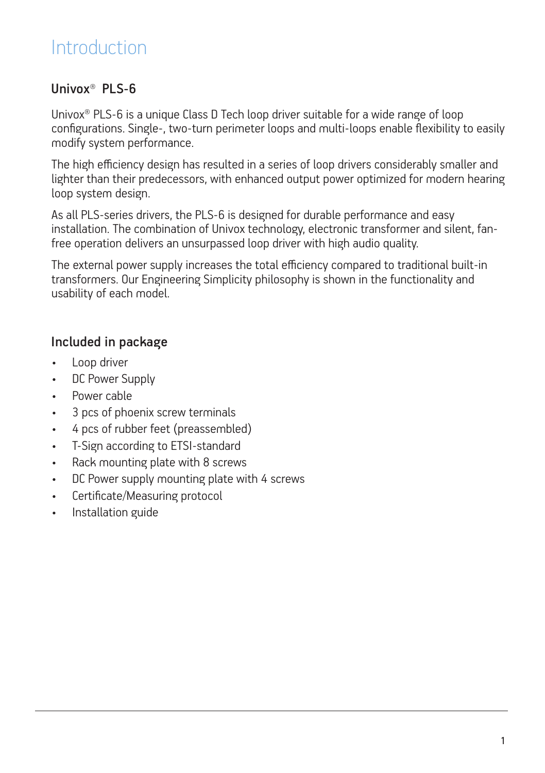### **Introduction**

### Univox® PLS-6

Univox® PLS-6 is a unique Class D Tech loop driver suitable for a wide range of loop configurations. Single-, two-turn perimeter loops and multi-loops enable flexibility to easily modify system performance.

The high efficiency design has resulted in a series of loop drivers considerably smaller and lighter than their predecessors, with enhanced output power optimized for modern hearing loop system design.

As all PLS-series drivers, the PLS-6 is designed for durable performance and easy installation. The combination of Univox technology, electronic transformer and silent, fanfree operation delivers an unsurpassed loop driver with high audio quality.

The external power supply increases the total efficiency compared to traditional built-in transformers. Our Engineering Simplicity philosophy is shown in the functionality and usability of each model.

### Included in package

- Loop driver
- DC Power Supply
- Power cable
- 3 pcs of phoenix screw terminals
- 4 pcs of rubber feet (preassembled)
- T-Sign according to ETSI-standard
- Rack mounting plate with 8 screws
- DC Power supply mounting plate with 4 screws
- Certificate/Measuring protocol
- Installation guide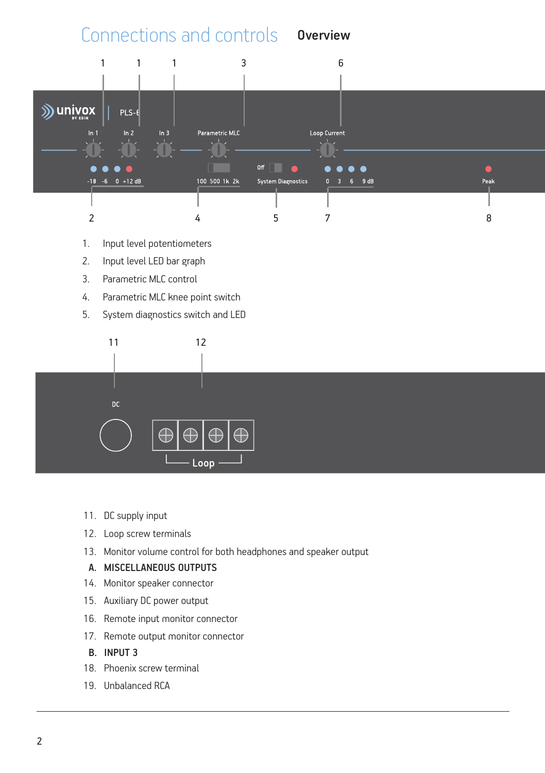

- 1. Input level potentiometers
- 2. Input level LED bar graph
- 3. Parametric MLC control
- 4. Parametric MLC knee point switch
- 5. System diagnostics switch and LED



- 11. DC supply input
- 12. Loop screw terminals
- 13. Monitor volume control for both headphones and speaker output

#### A. MISCELLANEOUS OUTPUTS

- 14. Monitor speaker connector
- 15. Auxiliary DC power output
- 16. Remote input monitor connector
- 17. Remote output monitor connector
- B. INPUT 3
- 18. Phoenix screw terminal
- 19. Unbalanced RCA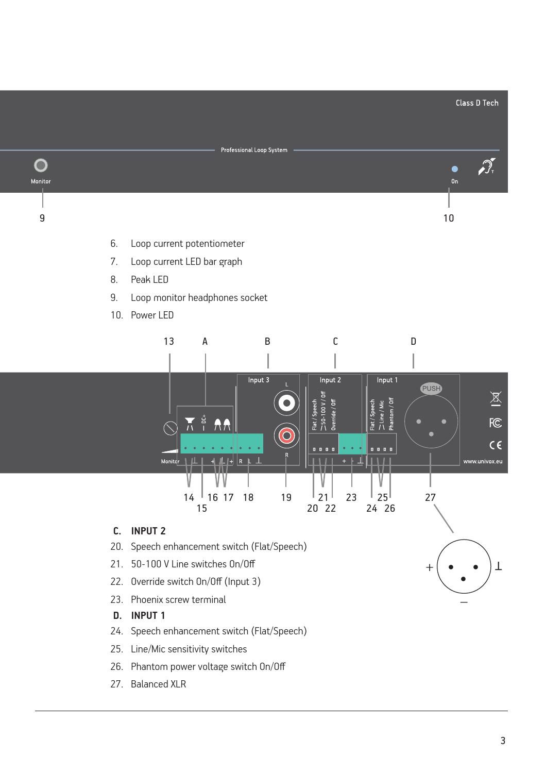

- 25. Line/Mic sensitivity switches
- 26. Phantom power voltage switch On/Off
- 27. Balanced XLR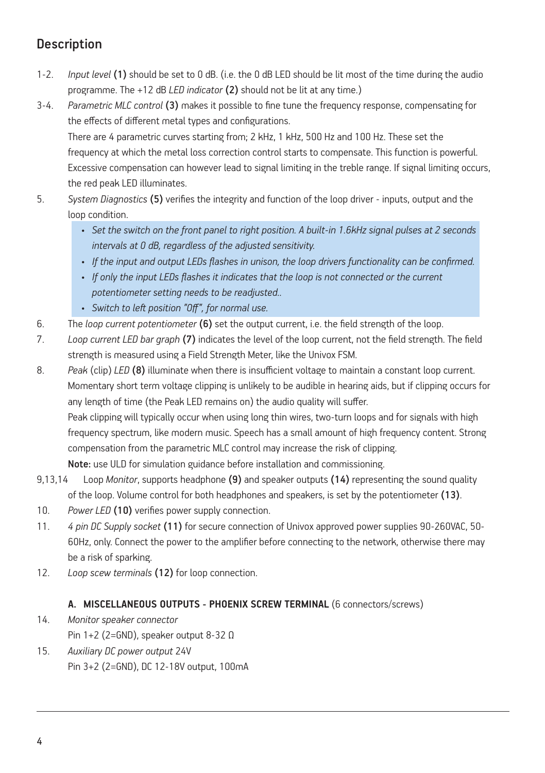### Description

- 1-2. *Input level* (1) should be set to 0 dB. (i.e. the 0 dB LED should be lit most of the time during the audio programme. The +12 dB *LED indicator* (2) should not be lit at any time.)
- 3-4. *Parametric MLC control* (3) makes it possible to fine tune the frequency response, compensating for the effects of different metal types and configurations.

There are 4 parametric curves starting from; 2 kHz, 1 kHz, 500 Hz and 100 Hz. These set the frequency at which the metal loss correction control starts to compensate. This function is powerful. Excessive compensation can however lead to signal limiting in the treble range. If signal limiting occurs, the red peak LED illuminates.

- 5. *System Diagnostics* (5) verifies the integrity and function of the loop driver inputs, output and the loop condition.
	- *• Set the switch on the front panel to right position. A built-in 1.6kHz signal pulses at 2 seconds intervals at 0 dB, regardless of the adjusted sensitivity.*
	- *• If the input and output LEDs flashes in unison, the loop drivers functionality can be confirmed.*
	- *• If only the input LEDs flashes it indicates that the loop is not connected or the current potentiometer setting needs to be readjusted..*
	- *• Switch to left position "Off", for normal use.*
- 6. The *loop current potentiometer* (6) set the output current, i.e. the field strength of the loop.
- 7. *Loop current LED bar graph* (7) indicates the level of the loop current, not the field strength. The field strength is measured using a Field Strength Meter, like the Univox FSM.
- 8. *Peak* (clip) *LED* (8) illuminate when there is insufficient voltage to maintain a constant loop current. Momentary short term voltage clipping is unlikely to be audible in hearing aids, but if clipping occurs for any length of time (the Peak LED remains on) the audio quality will suffer. Peak clipping will typically occur when using long thin wires, two-turn loops and for signals with high frequency spectrum, like modern music. Speech has a small amount of high frequency content. Strong compensation from the parametric MLC control may increase the risk of clipping. Note: use ULD for simulation guidance before installation and commissioning.
- 9,13,14 Loop *Monitor*, supports headphone (9) and speaker outputs (14) representing the sound quality of the loop. Volume control for both headphones and speakers, is set by the potentiometer (13).
- 10. *Power LED* (10) verifies power supply connection.
- 11. *4 pin DC Supply socket* (11) for secure connection of Univox approved power supplies 90-260VAC, 50- 60Hz, only. Connect the power to the amplifier before connecting to the network, otherwise there may be a risk of sparking.
- 12. *Loop scew terminals* (12) for loop connection.

#### **A. MISCELLANEOUS OUTPUTS - PHOENIX SCREW TERMINAL** (6 connectors/screws)

- 14. *Monitor speaker connector* Pin 1+2 (2=GND), speaker output 8-32 Ω
- 15. *Auxiliary DC power output* 24V Pin 3+2 (2=GND), DC 12-18V output, 100mA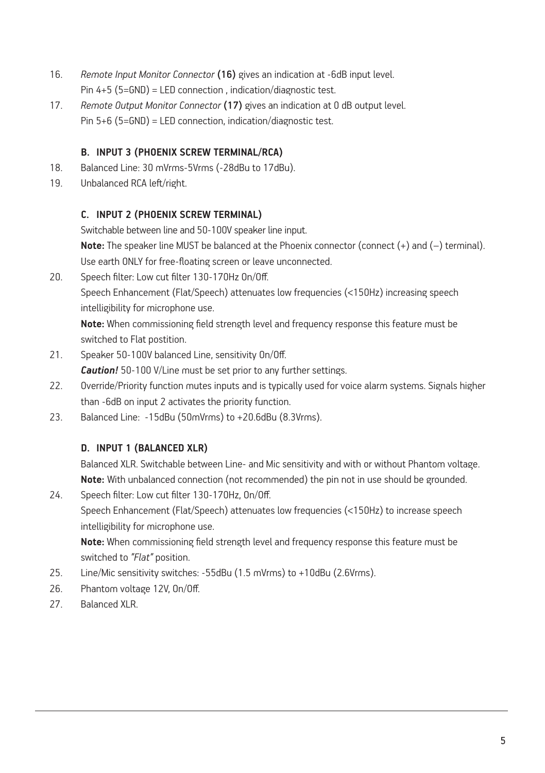- 16. *Remote Input Monitor Connector* (16) gives an indication at -6dB input level. Pin 4+5 (5=GND) = LED connection , indication/diagnostic test.
- 17. *Remote Output Monitor Connector* (17) gives an indication at 0 dB output level. Pin 5+6 (5=GND) = LED connection, indication/diagnostic test.

#### **B. INPUT 3 (PHOENIX SCREW TERMINAL/RCA)**

- 18. Balanced Line: 30 mVrms-5Vrms (-28dBu to 17dBu).
- 19. Unbalanced RCA left/right.

#### **C. INPUT 2 (PHOENIX SCREW TERMINAL)**

Switchable between line and 50-100V speaker line input.

**Note:** The speaker line MUST be balanced at the Phoenix connector (connect (+) and (-) terminal). Use earth ONLY for free-floating screen or leave unconnected.

20. Speech filter: Low cut filter 130-170Hz On/Off.

Speech Enhancement (Flat/Speech) attenuates low frequencies (<150Hz) increasing speech intelligibility for microphone use.

**Note:** When commissioning field strength level and frequency response this feature must be switched to Flat postition.

21. Speaker 50-100V balanced Line, sensitivity On/Off.

*Caution!* 50-100 V/Line must be set prior to any further settings.

- 22. Override/Priority function mutes inputs and is typically used for voice alarm systems. Signals higher than -6dB on input 2 activates the priority function.
- 23. Balanced Line: -15dBu (50mVrms) to +20.6dBu (8.3Vrms).

#### **D. INPUT 1 (BALANCED XLR)**

Balanced XLR. Switchable between Line- and Mic sensitivity and with or without Phantom voltage. **Note:** With unbalanced connection (not recommended) the pin not in use should be grounded.

24. Speech filter: Low cut filter 130-170Hz, On/Off. Speech Enhancement (Flat/Speech) attenuates low frequencies (<150Hz) to increase speech intelligibility for microphone use.

**Note:** When commissioning field strength level and frequency response this feature must be switched to *"Flat"* position.

- 25. Line/Mic sensitivity switches: -55dBu (1.5 mVrms) to +10dBu (2.6Vrms).
- 26. Phantom voltage 12V, On/Off.
- 27. Balanced XLR.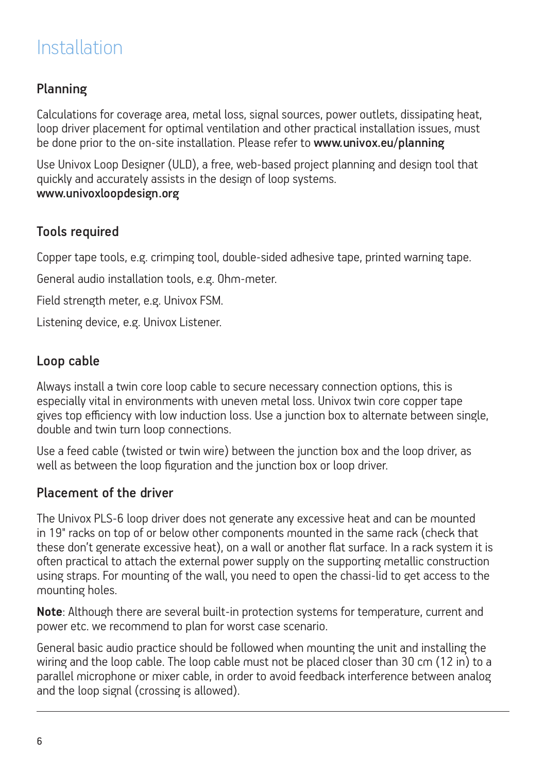## Installation

### Planning

Calculations for coverage area, metal loss, signal sources, power outlets, dissipating heat, loop driver placement for optimal ventilation and other practical installation issues, must be done prior to the on-site installation. Please refer to www.univox.eu/planning

Use Univox Loop Designer (ULD), a free, web-based project planning and design tool that quickly and accurately assists in the design of loop systems. www.univoxloopdesign.org

#### Tools required

Copper tape tools, e.g. crimping tool, double-sided adhesive tape, printed warning tape.

General audio installation tools, e.g. Ohm-meter.

Field strength meter, e.g. Univox FSM.

Listening device, e.g. Univox Listener.

#### Loop cable

Always install a twin core loop cable to secure necessary connection options, this is especially vital in environments with uneven metal loss. Univox twin core copper tape gives top efficiency with low induction loss. Use a junction box to alternate between single, double and twin turn loop connections.

Use a feed cable (twisted or twin wire) between the junction box and the loop driver, as well as between the loop figuration and the junction box or loop driver.

#### Placement of the driver

The Univox PLS-6 loop driver does not generate any excessive heat and can be mounted in 19" racks on top of or below other components mounted in the same rack (check that these don't generate excessive heat), on a wall or another flat surface. In a rack system it is often practical to attach the external power supply on the supporting metallic construction using straps. For mounting of the wall, you need to open the chassi-lid to get access to the mounting holes.

**Note**: Although there are several built-in protection systems for temperature, current and power etc. we recommend to plan for worst case scenario.

General basic audio practice should be followed when mounting the unit and installing the wiring and the loop cable. The loop cable must not be placed closer than 30 cm (12 in) to a parallel microphone or mixer cable, in order to avoid feedback interference between analog and the loop signal (crossing is allowed).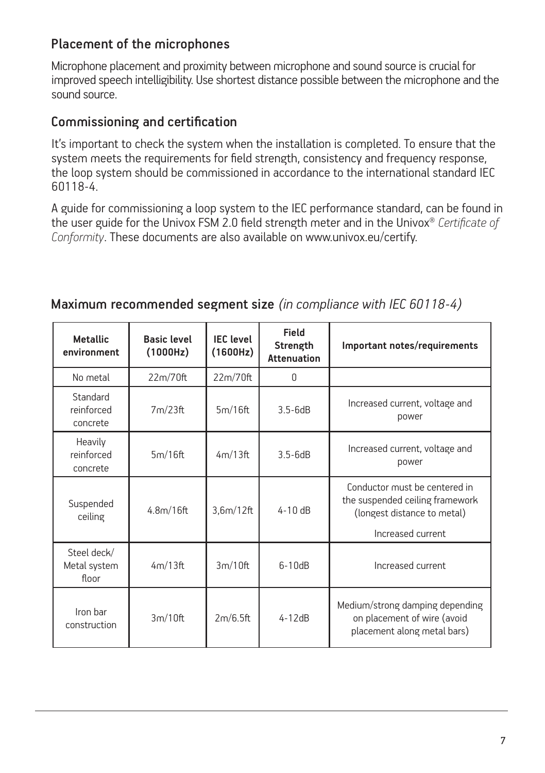### Placement of the microphones

Microphone placement and proximity between microphone and sound source is crucial for improved speech intelligibility. Use shortest distance possible between the microphone and the sound source.

#### Commissioning and certification

It's important to check the system when the installation is completed. To ensure that the system meets the requirements for field strength, consistency and frequency response, the loop system should be commissioned in accordance to the international standard IEC 60118-4.

A guide for commissioning a loop system to the IEC performance standard, can be found in the user guide for the Univox FSM 2.0 field strength meter and in the Univox® *Certificate of Conformity*. These documents are also available on www.univox.eu/certify.

| <b>Metallic</b><br>environment       | <b>Basic level</b><br>(1000Hz) | <b>IEC</b> level<br>(1600Hz) | Field<br>Strength<br><b>Attenuation</b> | Important notes/requirements                                                                                         |
|--------------------------------------|--------------------------------|------------------------------|-----------------------------------------|----------------------------------------------------------------------------------------------------------------------|
| No metal                             | 22m/70ft                       | 22m/70ft                     | $\Omega$                                |                                                                                                                      |
| Standard<br>reinforced<br>concrete   | 7m/23ft                        | 5m/16ft                      | $3.5 - 6dB$                             | Increased current, voltage and<br>power                                                                              |
| Heavily<br>reinforced<br>concrete    | 5m/16ft                        | 4m/13ft                      | $3.5 - 6dB$                             | Increased current, voltage and<br>power                                                                              |
| Suspended<br>ceiling                 | 4.8 <sub>m</sub> /16ft         | 3,6m/12ft                    | $4-10dB$                                | Conductor must be centered in<br>the suspended ceiling framework<br>(longest distance to metal)<br>Increased current |
| Steel deck/<br>Metal system<br>floor | 4m/13ft                        | 3m/10ft                      | $6-10dB$                                | Increased current                                                                                                    |
| Iron bar<br>construction             | 3m/10ft                        | 2m/6.5ft                     | $4 - 12dB$                              | Medium/strong damping depending<br>on placement of wire (avoid<br>placement along metal bars)                        |

### Maximum recommended segment size *(in compliance with IEC 60118-4)*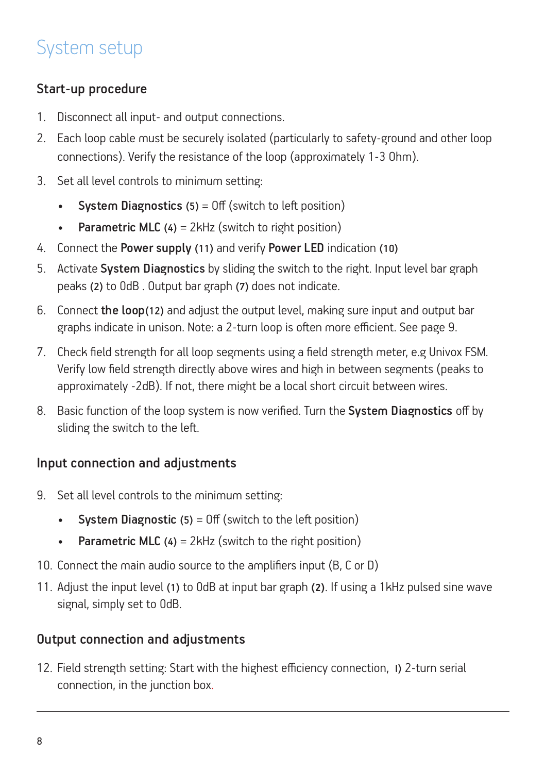# System setup

### Start-up procedure

- 1. Disconnect all input- and output connections.
- 2. Each loop cable must be securely isolated (particularly to safety-ground and other loop connections). Verify the resistance of the loop (approximately 1-3 Ohm).
- 3. Set all level controls to minimum setting:
	- **System Diagnostics (5)** =  $Off$  (switch to left position)
	- Parametric MLC  $(4) = 2kHz$  (switch to right position)
- 4. Connect the Power supply (11) and verify Power LED indication (10)
- 5. Activate System Diagnostics by sliding the switch to the right. Input level bar graph peaks (2) to 0dB . Output bar graph (7) does not indicate.
- 6. Connect the loop(12) and adjust the output level, making sure input and output bar graphs indicate in unison. Note: a 2-turn loop is often more efficient. See page 9.
- 7. Check field strength for all loop segments using a field strength meter, e.g Univox FSM. Verify low field strength directly above wires and high in between segments (peaks to approximately -2dB). If not, there might be a local short circuit between wires.
- 8. Basic function of the loop system is now verified. Turn the System Diagnostics off by sliding the switch to the left.

### Input connection and adjustments

- 9. Set all level controls to the minimum setting:
	- System Diagnostic  $(5) = 0$  f (switch to the left position)
	- Parametric MLC  $(4) = 2kHz$  (switch to the right position)
- 10. Connect the main audio source to the amplifiers input (B, C or D)
- 11. Adjust the input level (1) to 0dB at input bar graph **(2)**. If using a 1kHz pulsed sine wave signal, simply set to 0dB.

### Output connection and adjustments

12. Field strength setting: Start with the highest efficiency connection, I) 2-turn serial connection, in the junction box.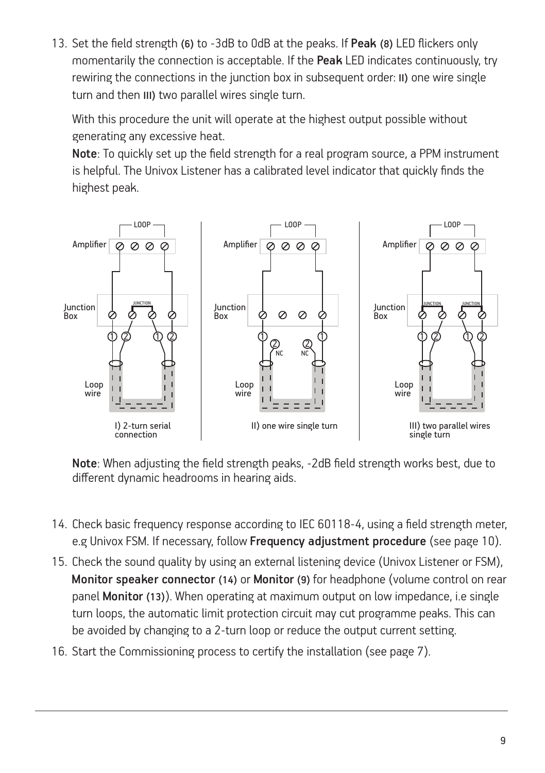13. Set the field strength (6) to -3dB to 0dB at the peaks. If Peak (8) LED flickers only momentarily the connection is acceptable. If the Peak LED indicates continuously, try rewiring the connections in the junction box in subsequent order: II) one wire single turn and then III) two parallel wires single turn.

With this procedure the unit will operate at the highest output possible without generating any excessive heat.

Note: To quickly set up the field strength for a real program source, a PPM instrument is helpful. The Univox Listener has a calibrated level indicator that quickly finds the highest peak.



Note: When adjusting the field strength peaks, -2dB field strength works best, due to different dynamic headrooms in hearing aids.

- 14. Check basic frequency response according to IEC 60118-4, using a field strength meter, e.g Univox FSM. If necessary, follow Frequency adjustment procedure (see page 10).
- 15. Check the sound quality by using an external listening device (Univox Listener or FSM), Monitor speaker connector (14) or Monitor (9) for headphone (volume control on rear panel Monitor (13)). When operating at maximum output on low impedance, i.e single turn loops, the automatic limit protection circuit may cut programme peaks. This can be avoided by changing to a 2-turn loop or reduce the output current setting.
- 16. Start the Commissioning process to certify the installation (see page 7).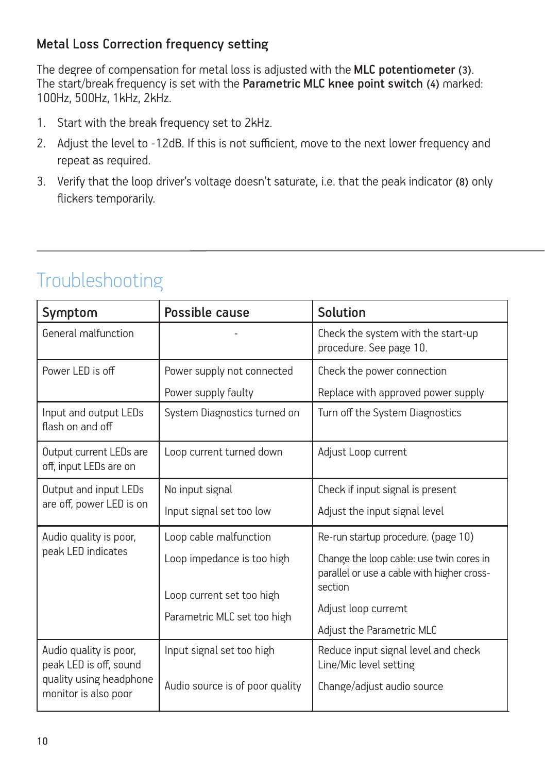### Metal Loss Correction frequency setting

The degree of compensation for metal loss is adjusted with the MLC potentiometer (3). The start/break frequency is set with the Parametric MLC knee point switch (4) marked: 100Hz, 500Hz, 1kHz, 2kHz.

- 1. Start with the break frequency set to 2kHz.
- 2. Adjust the level to -12dB. If this is not sufficient, move to the next lower frequency and repeat as required.
- 3. Verify that the loop driver's voltage doesn't saturate, i.e. that the peak indicator (8) only flickers temporarily.

| Symptom                                           | Possible cause                  | Solution                                                                                          |
|---------------------------------------------------|---------------------------------|---------------------------------------------------------------------------------------------------|
| General malfunction                               |                                 | Check the system with the start-up<br>procedure. See page 10.                                     |
| Power I FD is off                                 | Power supply not connected      | Check the power connection                                                                        |
|                                                   | Power supply faulty             | Replace with approved power supply                                                                |
| Input and output LEDs<br>flash on and off         | System Diagnostics turned on    | Turn off the System Diagnostics                                                                   |
| Output current LEDs are<br>off, input LEDs are on | Loop current turned down        | Adjust Loop current                                                                               |
| Output and input LEDs                             | No input signal                 | Check if input signal is present                                                                  |
| are off, power LED is on                          | Input signal set too low        | Adjust the input signal level                                                                     |
| Audio quality is poor,                            | Loop cable malfunction          | Re-run startup procedure. (page 10)                                                               |
| peak LED indicates                                | Loop impedance is too high      | Change the loop cable: use twin cores in<br>parallel or use a cable with higher cross-<br>section |
|                                                   | Loop current set too high       | Adjust loop curremt                                                                               |
|                                                   | Parametric MLC set too high     | Adjust the Parametric MLC                                                                         |
| Audio quality is poor,<br>peak LED is off, sound  | Input signal set too high       | Reduce input signal level and check<br>Line/Mic level setting                                     |
| quality using headphone<br>monitor is also poor   | Audio source is of poor quality | Change/adjust audio source                                                                        |

### Troubleshooting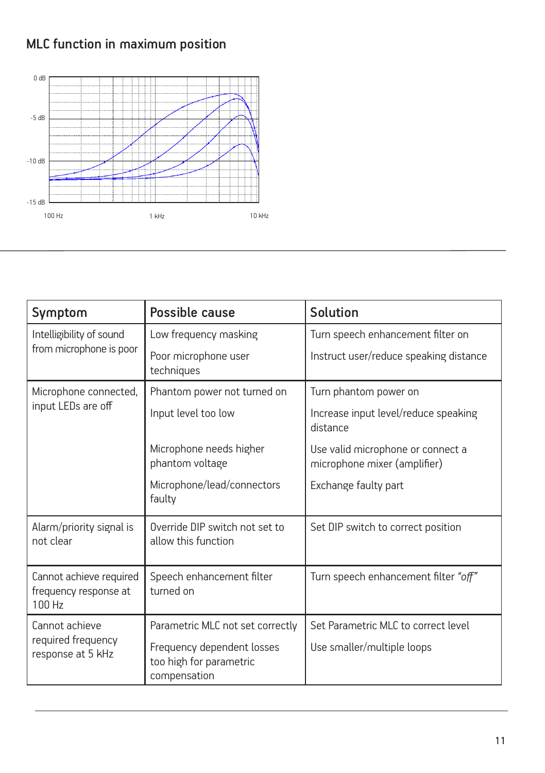### MLC function in maximum position



| Symptom                                                    | Possible cause                                                        | Solution                                                          |  |
|------------------------------------------------------------|-----------------------------------------------------------------------|-------------------------------------------------------------------|--|
| Intelligibility of sound                                   | Low frequency masking                                                 | Turn speech enhancement filter on                                 |  |
| from microphone is poor                                    | Poor microphone user<br>techniques                                    | Instruct user/reduce speaking distance                            |  |
| Microphone connected,                                      | Phantom power not turned on                                           | Turn phantom power on                                             |  |
| input LEDs are off                                         | Input level too low                                                   | Increase input level/reduce speaking<br>distance                  |  |
|                                                            | Microphone needs higher<br>phantom voltage                            | Use valid microphone or connect a<br>microphone mixer (amplifier) |  |
|                                                            | Microphone/lead/connectors<br>faulty                                  | Exchange faulty part                                              |  |
| Alarm/priority signal is<br>not clear                      | Override DIP switch not set to<br>allow this function                 | Set DIP switch to correct position                                |  |
| Cannot achieve required<br>frequency response at<br>100 Hz | Speech enhancement filter<br>turned on                                | Turn speech enhancement filter "off"                              |  |
| Cannot achieve                                             | Parametric MLC not set correctly                                      | Set Parametric MLC to correct level                               |  |
| required frequency<br>response at 5 kHz                    | Frequency dependent losses<br>too high for parametric<br>compensation | Use smaller/multiple loops                                        |  |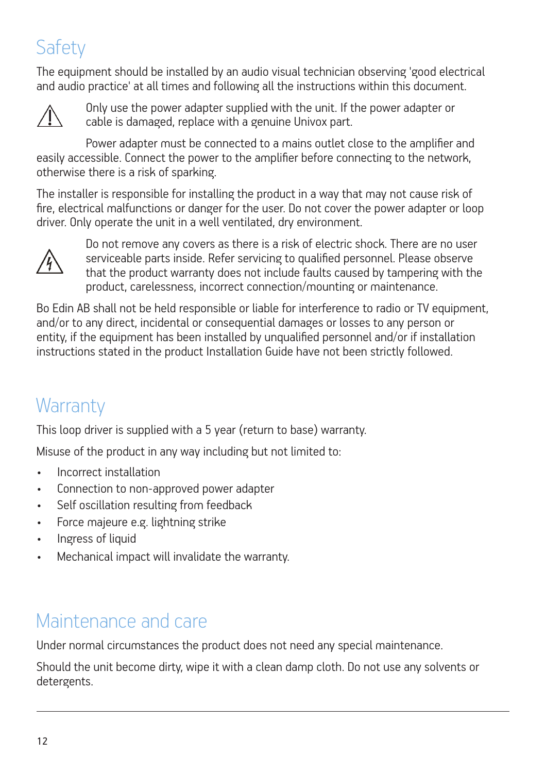# **Safety**

The equipment should be installed by an audio visual technician observing 'good electrical and audio practice' at all times and following all the instructions within this document.



Only use the power adapter supplied with the unit. If the power adapter or cable is damaged, replace with a genuine Univox part.

Power adapter must be connected to a mains outlet close to the amplifier and easily accessible. Connect the power to the amplifier before connecting to the network, otherwise there is a risk of sparking.

The installer is responsible for installing the product in a way that may not cause risk of fire, electrical malfunctions or danger for the user. Do not cover the power adapter or loop driver. Only operate the unit in a well ventilated, dry environment.



 Do not remove any covers as there is a risk of electric shock. There are no user serviceable parts inside. Refer servicing to qualified personnel. Please observe that the product warranty does not include faults caused by tampering with the product, carelessness, incorrect connection/mounting or maintenance.

Bo Edin AB shall not be held responsible or liable for interference to radio or TV equipment, and/or to any direct, incidental or consequential damages or losses to any person or entity, if the equipment has been installed by unqualified personnel and/or if installation instructions stated in the product Installation Guide have not been strictly followed.

# **Warranty**

This loop driver is supplied with a 5 year (return to base) warranty.

Misuse of the product in any way including but not limited to:

- Incorrect installation
- Connection to non-approved power adapter
- Self oscillation resulting from feedback
- Force majeure e.g. lightning strike
- Ingress of liquid
- Mechanical impact will invalidate the warranty.

### Maintenance and care

Under normal circumstances the product does not need any special maintenance.

Should the unit become dirty, wipe it with a clean damp cloth. Do not use any solvents or detergents.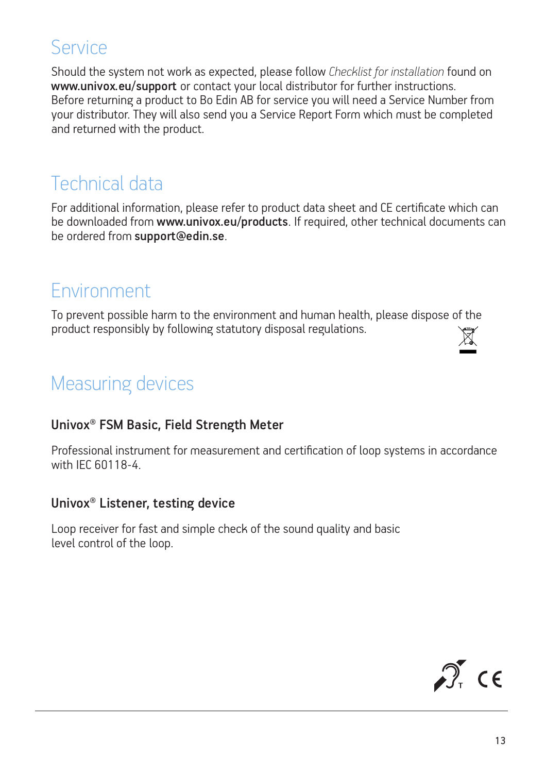### Service

Should the system not work as expected, please follow *Checklist for installation* found on www.univox.eu/support or contact your local distributor for further instructions. Before returning a product to Bo Edin AB for service you will need a Service Number from your distributor. They will also send you a Service Report Form which must be completed and returned with the product.

### Technical data

For additional information, please refer to product data sheet and CE certificate which can be downloaded from www.univox.eu/products. If required, other technical documents can be ordered from support@edin.se.

### Environment

To prevent possible harm to the environment and human health, please dispose of the product responsibly by following statutory disposal regulations. ⊠ี

# Measuring devices

#### Univox® FSM Basic, Field Strength Meter

Professional instrument for measurement and certification of loop systems in accordance with IEC 60118-4.

#### Univox® Listener, testing device

Loop receiver for fast and simple check of the sound quality and basic level control of the loop.